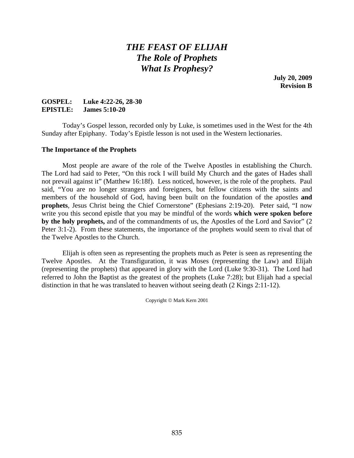# *THE FEAST OF ELIJAH The Role of Prophets What Is Prophesy?*

**July 20, 2009 Revision B** 

## **GOSPEL: Luke 4:22-26, 28-30 EPISTLE: James 5:10-20**

 Today's Gospel lesson, recorded only by Luke, is sometimes used in the West for the 4th Sunday after Epiphany. Today's Epistle lesson is not used in the Western lectionaries.

## **The Importance of the Prophets**

 Most people are aware of the role of the Twelve Apostles in establishing the Church. The Lord had said to Peter, "On this rock I will build My Church and the gates of Hades shall not prevail against it" (Matthew 16:18f). Less noticed, however, is the role of the prophets. Paul said, "You are no longer strangers and foreigners, but fellow citizens with the saints and members of the household of God, having been built on the foundation of the apostles **and prophets**, Jesus Christ being the Chief Cornerstone" (Ephesians 2:19-20). Peter said, "I now write you this second epistle that you may be mindful of the words **which were spoken before by the holy prophets,** and of the commandments of us, the Apostles of the Lord and Savior" (2 Peter 3:1-2). From these statements, the importance of the prophets would seem to rival that of the Twelve Apostles to the Church.

 Elijah is often seen as representing the prophets much as Peter is seen as representing the Twelve Apostles. At the Transfiguration, it was Moses (representing the Law) and Elijah (representing the prophets) that appeared in glory with the Lord (Luke 9:30-31). The Lord had referred to John the Baptist as the greatest of the prophets (Luke 7:28); but Elijah had a special distinction in that he was translated to heaven without seeing death (2 Kings 2:11-12).

Copyright © Mark Kern 2001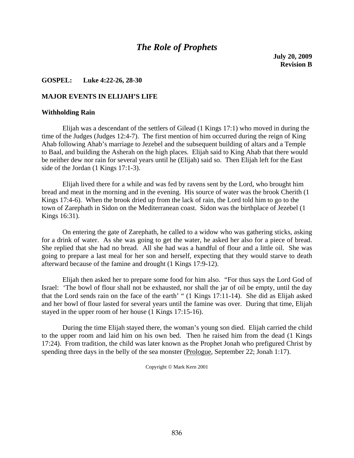## *The Role of Prophets*

**July 20, 2009 Revision B** 

### **GOSPEL: Luke 4:22-26, 28-30**

#### **MAJOR EVENTS IN ELIJAH'S LIFE**

#### **Withholding Rain**

 Elijah was a descendant of the settlers of Gilead (1 Kings 17:1) who moved in during the time of the Judges (Judges 12:4-7). The first mention of him occurred during the reign of King Ahab following Ahab's marriage to Jezebel and the subsequent building of altars and a Temple to Baal, and building the Asherah on the high places. Elijah said to King Ahab that there would be neither dew nor rain for several years until he (Elijah) said so. Then Elijah left for the East side of the Jordan (1 Kings 17:1-3).

 Elijah lived there for a while and was fed by ravens sent by the Lord, who brought him bread and meat in the morning and in the evening. His source of water was the brook Cherith (1 Kings 17:4-6). When the brook dried up from the lack of rain, the Lord told him to go to the town of Zarephath in Sidon on the Mediterranean coast. Sidon was the birthplace of Jezebel (1 Kings 16:31).

 On entering the gate of Zarephath, he called to a widow who was gathering sticks, asking for a drink of water. As she was going to get the water, he asked her also for a piece of bread. She replied that she had no bread. All she had was a handful of flour and a little oil. She was going to prepare a last meal for her son and herself, expecting that they would starve to death afterward because of the famine and drought (1 Kings 17:9-12).

 Elijah then asked her to prepare some food for him also. "For thus says the Lord God of Israel: 'The bowl of flour shall not be exhausted, nor shall the jar of oil be empty, until the day that the Lord sends rain on the face of the earth' " (1 Kings 17:11-14). She did as Elijah asked and her bowl of flour lasted for several years until the famine was over. During that time, Elijah stayed in the upper room of her house (1 Kings 17:15-16).

 During the time Elijah stayed there, the woman's young son died. Elijah carried the child to the upper room and laid him on his own bed. Then he raised him from the dead (1 Kings 17:24). From tradition, the child was later known as the Prophet Jonah who prefigured Christ by spending three days in the belly of the sea monster (Prologue, September 22; Jonah 1:17).

Copyright © Mark Kern 2001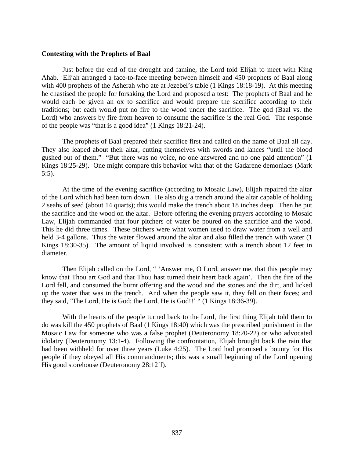#### **Contesting with the Prophets of Baal**

 Just before the end of the drought and famine, the Lord told Elijah to meet with King Ahab. Elijah arranged a face-to-face meeting between himself and 450 prophets of Baal along with 400 prophets of the Asherah who ate at Jezebel's table (1 Kings 18:18-19). At this meeting he chastised the people for forsaking the Lord and proposed a test: The prophets of Baal and he would each be given an ox to sacrifice and would prepare the sacrifice according to their traditions; but each would put no fire to the wood under the sacrifice. The god (Baal vs. the Lord) who answers by fire from heaven to consume the sacrifice is the real God. The response of the people was "that is a good idea" (1 Kings 18:21-24).

 The prophets of Baal prepared their sacrifice first and called on the name of Baal all day. They also leaped about their altar, cutting themselves with swords and lances "until the blood gushed out of them." "But there was no voice, no one answered and no one paid attention" (1 Kings 18:25-29). One might compare this behavior with that of the Gadarene demoniacs (Mark 5:5).

 At the time of the evening sacrifice (according to Mosaic Law), Elijah repaired the altar of the Lord which had been torn down. He also dug a trench around the altar capable of holding 2 seahs of seed (about 14 quarts); this would make the trench about 18 inches deep. Then he put the sacrifice and the wood on the altar. Before offering the evening prayers according to Mosaic Law, Elijah commanded that four pitchers of water be poured on the sacrifice and the wood. This he did three times. These pitchers were what women used to draw water from a well and held 3-4 gallons. Thus the water flowed around the altar and also filled the trench with water (1 Kings 18:30-35). The amount of liquid involved is consistent with a trench about 12 feet in diameter.

 Then Elijah called on the Lord, " 'Answer me, O Lord, answer me, that this people may know that Thou art God and that Thou hast turned their heart back again'. Then the fire of the Lord fell, and consumed the burnt offering and the wood and the stones and the dirt, and licked up the water that was in the trench. And when the people saw it, they fell on their faces; and they said, 'The Lord, He is God; the Lord, He is God!!' " (1 Kings 18:36-39).

 With the hearts of the people turned back to the Lord, the first thing Elijah told them to do was kill the 450 prophets of Baal (1 Kings 18:40) which was the prescribed punishment in the Mosaic Law for someone who was a false prophet (Deuteronomy 18:20-22) or who advocated idolatry (Deuteronomy 13:1-4). Following the confrontation, Elijah brought back the rain that had been withheld for over three years (Luke 4:25). The Lord had promised a bounty for His people if they obeyed all His commandments; this was a small beginning of the Lord opening His good storehouse (Deuteronomy 28:12ff).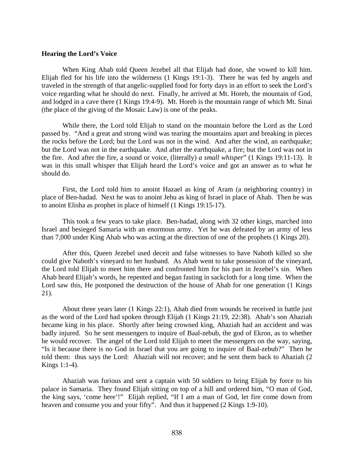#### **Hearing the Lord's Voice**

 When King Ahab told Queen Jezebel all that Elijah had done, she vowed to kill him. Elijah fled for his life into the wilderness (1 Kings 19:1-3). There he was fed by angels and traveled in the strength of that angelic-supplied food for forty days in an effort to seek the Lord's voice regarding what he should do next. Finally, he arrived at Mt. Horeb, the mountain of God, and lodged in a cave there (1 Kings 19:4-9). Mt. Horeb is the mountain range of which Mt. Sinai (the place of the giving of the Mosaic Law) is one of the peaks.

 While there, the Lord told Elijah to stand on the mountain before the Lord as the Lord passed by. "And a great and strong wind was tearing the mountains apart and breaking in pieces the rocks before the Lord; but the Lord was not in the wind. And after the wind, an earthquake; but the Lord was not in the earthquake. And after the earthquake, a fire; but the Lord was not in the fire. And after the fire, a sound or voice, (literally) *a small whisper*" (1 Kings 19:11-13). It was in this small whisper that Elijah heard the Lord's voice and got an answer as to what he should do.

 First, the Lord told him to anoint Hazael as king of Aram (a neighboring country) in place of Ben-hadad. Next he was to anoint Jehu as king of Israel in place of Ahab. Then he was to anoint Elisha as prophet in place of himself (1 Kings 19:15-17).

 This took a few years to take place. Ben-hadad, along with 32 other kings, marched into Israel and besieged Samaria with an enormous army. Yet he was defeated by an army of less than 7,000 under King Ahab who was acting at the direction of one of the prophets (1 Kings 20).

 After this, Queen Jezebel used deceit and false witnesses to have Naboth killed so she could give Naboth's vineyard to her husband. As Ahab went to take possession of the vineyard, the Lord told Elijah to meet him there and confronted him for his part in Jezebel's sin. When Ahab heard Elijah's words, he repented and began fasting in sackcloth for a long time. When the Lord saw this, He postponed the destruction of the house of Ahab for one generation (1 Kings 21).

 About three years later (1 Kings 22:1), Ahab died from wounds he received in battle just as the word of the Lord had spoken through Elijah (1 Kings 21:19, 22:38). Ahab's son Ahaziah became king in his place. Shortly after being crowned king, Ahaziah had an accident and was badly injured. So he sent messengers to inquire of Baal-zebub, the god of Ekron, as to whether he would recover. The angel of the Lord told Elijah to meet the messengers on the way, saying, "Is it because there is no God in Israel that you are going to inquire of Baal-zebub?" Then he told them: thus says the Lord: Ahaziah will not recover; and he sent them back to Ahaziah (2 Kings 1:1-4).

 Ahaziah was furious and sent a captain with 50 soldiers to bring Elijah by force to his palace in Samaria. They found Elijah sitting on top of a hill and ordered him, "O man of God, the king says, 'come here'!" Elijah replied, "If I am a man of God, let fire come down from heaven and consume you and your fifty". And thus it happened (2 Kings 1:9-10).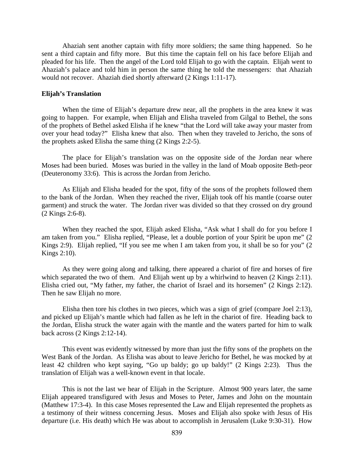Ahaziah sent another captain with fifty more soldiers; the same thing happened. So he sent a third captain and fifty more. But this time the captain fell on his face before Elijah and pleaded for his life. Then the angel of the Lord told Elijah to go with the captain. Elijah went to Ahaziah's palace and told him in person the same thing he told the messengers: that Ahaziah would not recover. Ahaziah died shortly afterward (2 Kings 1:11-17).

#### **Elijah's Translation**

When the time of Elijah's departure drew near, all the prophets in the area knew it was going to happen. For example, when Elijah and Elisha traveled from Gilgal to Bethel, the sons of the prophets of Bethel asked Elisha if he knew "that the Lord will take away your master from over your head today?" Elisha knew that also. Then when they traveled to Jericho, the sons of the prophets asked Elisha the same thing (2 Kings 2:2-5).

 The place for Elijah's translation was on the opposite side of the Jordan near where Moses had been buried. Moses was buried in the valley in the land of Moab opposite Beth-peor (Deuteronomy 33:6). This is across the Jordan from Jericho.

 As Elijah and Elisha headed for the spot, fifty of the sons of the prophets followed them to the bank of the Jordan. When they reached the river, Elijah took off his mantle (coarse outer garment) and struck the water. The Jordan river was divided so that they crossed on dry ground (2 Kings 2:6-8).

 When they reached the spot, Elijah asked Elisha, "Ask what I shall do for you before I am taken from you." Elisha replied, "Please, let a double portion of your Spirit be upon me" (2 Kings 2:9). Elijah replied, "If you see me when I am taken from you, it shall be so for you" (2 Kings 2:10).

 As they were going along and talking, there appeared a chariot of fire and horses of fire which separated the two of them. And Elijah went up by a whirlwind to heaven  $(2 \text{ Kings } 2:11)$ . Elisha cried out, "My father, my father, the chariot of Israel and its horsemen" (2 Kings 2:12). Then he saw Elijah no more.

 Elisha then tore his clothes in two pieces, which was a sign of grief (compare Joel 2:13), and picked up Elijah's mantle which had fallen as he left in the chariot of fire. Heading back to the Jordan, Elisha struck the water again with the mantle and the waters parted for him to walk back across (2 Kings 2:12-14).

 This event was evidently witnessed by more than just the fifty sons of the prophets on the West Bank of the Jordan. As Elisha was about to leave Jericho for Bethel, he was mocked by at least 42 children who kept saying, "Go up baldy; go up baldy!" (2 Kings 2:23). Thus the translation of Elijah was a well-known event in that locale.

 This is not the last we hear of Elijah in the Scripture. Almost 900 years later, the same Elijah appeared transfigured with Jesus and Moses to Peter, James and John on the mountain (Matthew 17:3-4). In this case Moses represented the Law and Elijah represented the prophets as a testimony of their witness concerning Jesus. Moses and Elijah also spoke with Jesus of His departure (i.e. His death) which He was about to accomplish in Jerusalem (Luke 9:30-31). How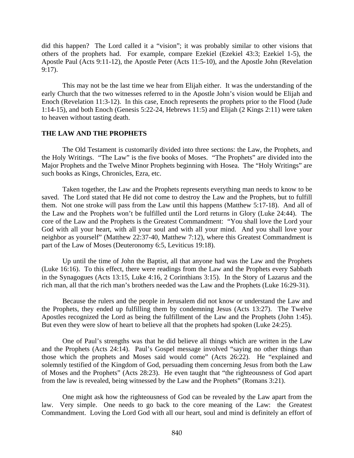did this happen? The Lord called it a "vision"; it was probably similar to other visions that others of the prophets had. For example, compare Ezekiel (Ezekiel 43:3; Ezekiel 1-5), the Apostle Paul (Acts 9:11-12), the Apostle Peter (Acts 11:5-10), and the Apostle John (Revelation 9:17).

 This may not be the last time we hear from Elijah either. It was the understanding of the early Church that the two witnesses referred to in the Apostle John's vision would be Elijah and Enoch (Revelation 11:3-12). In this case, Enoch represents the prophets prior to the Flood (Jude 1:14-15), and both Enoch (Genesis 5:22-24, Hebrews 11:5) and Elijah (2 Kings 2:11) were taken to heaven without tasting death.

## **THE LAW AND THE PROPHETS**

 The Old Testament is customarily divided into three sections: the Law, the Prophets, and the Holy Writings. "The Law" is the five books of Moses. "The Prophets" are divided into the Major Prophets and the Twelve Minor Prophets beginning with Hosea. The "Holy Writings" are such books as Kings, Chronicles, Ezra, etc.

 Taken together, the Law and the Prophets represents everything man needs to know to be saved. The Lord stated that He did not come to destroy the Law and the Prophets, but to fulfill them. Not one stroke will pass from the Law until this happens (Matthew 5:17-18). And all of the Law and the Prophets won't be fulfilled until the Lord returns in Glory (Luke 24:44). The core of the Law and the Prophets is the Greatest Commandment: "You shall love the Lord your God with all your heart, with all your soul and with all your mind. And you shall love your neighbor as yourself" (Matthew 22:37-40, Matthew 7:12), where this Greatest Commandment is part of the Law of Moses (Deuteronomy 6:5, Leviticus 19:18).

 Up until the time of John the Baptist, all that anyone had was the Law and the Prophets (Luke 16:16). To this effect, there were readings from the Law and the Prophets every Sabbath in the Synagogues (Acts 13:15, Luke 4:16, 2 Corinthians 3:15). In the Story of Lazarus and the rich man, all that the rich man's brothers needed was the Law and the Prophets (Luke 16:29-31).

 Because the rulers and the people in Jerusalem did not know or understand the Law and the Prophets, they ended up fulfilling them by condemning Jesus (Acts 13:27). The Twelve Apostles recognized the Lord as being the fulfillment of the Law and the Prophets (John 1:45). But even they were slow of heart to believe all that the prophets had spoken (Luke 24:25).

 One of Paul's strengths was that he did believe all things which are written in the Law and the Prophets (Acts 24:14). Paul's Gospel message involved "saying no other things than those which the prophets and Moses said would come" (Acts 26:22). He "explained and solemnly testified of the Kingdom of God, persuading them concerning Jesus from both the Law of Moses and the Prophets" (Acts 28:23). He even taught that "the righteousness of God apart from the law is revealed, being witnessed by the Law and the Prophets" (Romans 3:21).

 One might ask how the righteousness of God can be revealed by the Law apart from the law. Very simple. One needs to go back to the core meaning of the Law: the Greatest Commandment. Loving the Lord God with all our heart, soul and mind is definitely an effort of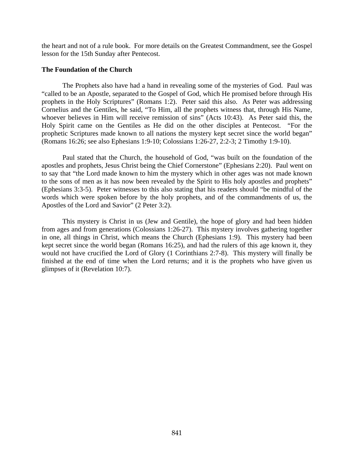the heart and not of a rule book. For more details on the Greatest Commandment, see the Gospel lesson for the 15th Sunday after Pentecost.

## **The Foundation of the Church**

 The Prophets also have had a hand in revealing some of the mysteries of God. Paul was "called to be an Apostle, separated to the Gospel of God, which He promised before through His prophets in the Holy Scriptures" (Romans 1:2). Peter said this also. As Peter was addressing Cornelius and the Gentiles, he said, "To Him, all the prophets witness that, through His Name, whoever believes in Him will receive remission of sins" (Acts 10:43). As Peter said this, the Holy Spirit came on the Gentiles as He did on the other disciples at Pentecost. "For the prophetic Scriptures made known to all nations the mystery kept secret since the world began" (Romans 16:26; see also Ephesians 1:9-10; Colossians 1:26-27, 2:2-3; 2 Timothy 1:9-10).

 Paul stated that the Church, the household of God, "was built on the foundation of the apostles and prophets, Jesus Christ being the Chief Cornerstone" (Ephesians 2:20). Paul went on to say that "the Lord made known to him the mystery which in other ages was not made known to the sons of men as it has now been revealed by the Spirit to His holy apostles and prophets" (Ephesians 3:3-5). Peter witnesses to this also stating that his readers should "be mindful of the words which were spoken before by the holy prophets, and of the commandments of us, the Apostles of the Lord and Savior" (2 Peter 3:2).

 This mystery is Christ in us (Jew and Gentile), the hope of glory and had been hidden from ages and from generations (Colossians 1:26-27). This mystery involves gathering together in one, all things in Christ, which means the Church (Ephesians 1:9). This mystery had been kept secret since the world began (Romans 16:25), and had the rulers of this age known it, they would not have crucified the Lord of Glory (1 Corinthians 2:7-8). This mystery will finally be finished at the end of time when the Lord returns; and it is the prophets who have given us glimpses of it (Revelation 10:7).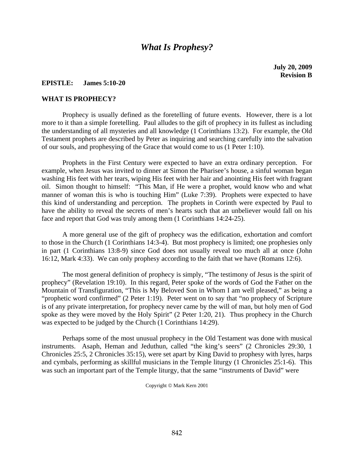## *What Is Prophesy?*

**July 20, 2009 Revision B** 

## **EPISTLE: James 5:10-20**

### **WHAT IS PROPHECY?**

 Prophecy is usually defined as the foretelling of future events. However, there is a lot more to it than a simple foretelling. Paul alludes to the gift of prophecy in its fullest as including the understanding of all mysteries and all knowledge (1 Corinthians 13:2). For example, the Old Testament prophets are described by Peter as inquiring and searching carefully into the salvation of our souls, and prophesying of the Grace that would come to us (1 Peter 1:10).

 Prophets in the First Century were expected to have an extra ordinary perception. For example, when Jesus was invited to dinner at Simon the Pharisee's house, a sinful woman began washing His feet with her tears, wiping His feet with her hair and anointing His feet with fragrant oil. Simon thought to himself: "This Man, if He were a prophet, would know who and what manner of woman this is who is touching Him" (Luke 7:39). Prophets were expected to have this kind of understanding and perception. The prophets in Corinth were expected by Paul to have the ability to reveal the secrets of men's hearts such that an unbeliever would fall on his face and report that God was truly among them (1 Corinthians 14:24-25).

 A more general use of the gift of prophecy was the edification, exhortation and comfort to those in the Church (1 Corinthians 14:3-4). But most prophecy is limited; one prophesies only in part (1 Corinthians 13:8-9) since God does not usually reveal too much all at once (John 16:12, Mark 4:33). We can only prophesy according to the faith that we have (Romans 12:6).

 The most general definition of prophecy is simply, "The testimony of Jesus is the spirit of prophecy" (Revelation 19:10). In this regard, Peter spoke of the words of God the Father on the Mountain of Transfiguration, "This is My Beloved Son in Whom I am well pleased," as being a "prophetic word confirmed" (2 Peter 1:19). Peter went on to say that "no prophecy of Scripture is of any private interpretation, for prophecy never came by the will of man, but holy men of God spoke as they were moved by the Holy Spirit" (2 Peter 1:20, 21). Thus prophecy in the Church was expected to be judged by the Church (1 Corinthians 14:29).

 Perhaps some of the most unusual prophecy in the Old Testament was done with musical instruments. Asaph, Heman and Jeduthun, called "the king's seers" (2 Chronicles 29:30, 1 Chronicles 25:5, 2 Chronicles 35:15), were set apart by King David to prophesy with lyres, harps and cymbals, performing as skillful musicians in the Temple liturgy (1 Chronicles 25:1-6). This was such an important part of the Temple liturgy, that the same "instruments of David" were

Copyright © Mark Kern 2001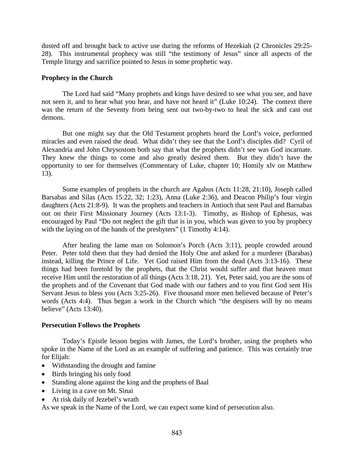dusted off and brought back to active use during the reforms of Hezekiah (2 Chronicles 29:25- 28). This instrumental prophecy was still "the testimony of Jesus" since all aspects of the Temple liturgy and sacrifice pointed to Jesus in some prophetic way.

## **Prophecy in the Church**

 The Lord had said "Many prophets and kings have desired to see what you see, and have not seen it, and to hear what you hear, and have not heard it" (Luke 10:24). The context there was the return of the Seventy from being sent out two-by-two to heal the sick and cast out demons.

 But one might say that the Old Testament prophets heard the Lord's voice, performed miracles and even raised the dead. What didn't they see that the Lord's disciples did? Cyril of Alexandria and John Chrysostom both say that what the prophets didn't see was God incarnate. They knew the things to come and also greatly desired them. But they didn't have the opportunity to see for themselves (Commentary of Luke, chapter 10; Homily xlv on Matthew 13).

 Some examples of prophets in the church are Agabus (Acts 11:28, 21:10), Joseph called Barsabas and Silas (Acts 15:22, 32; 1:23), Anna (Luke 2:36), and Deacon Philip's four virgin daughters (Acts 21:8-9). It was the prophets and teachers in Antioch that sent Paul and Barnabas out on their First Missionary Journey (Acts 13:1-3). Timothy, as Bishop of Ephesus, was encouraged by Paul "Do not neglect the gift that is in you, which was given to you by prophecy with the laying on of the hands of the presbyters" (1 Timothy 4:14).

 After healing the lame man on Solomon's Porch (Acts 3:11), people crowded around Peter. Peter told them that they had denied the Holy One and asked for a murderer (Barabas) instead, killing the Prince of Life. Yet God raised Him from the dead (Acts 3:13-16). These things had been foretold by the prophets, that the Christ would suffer and that heaven must receive Him until the restoration of all things (Acts 3:18, 21). Yet, Peter said, you are the sons of the prophets and of the Covenant that God made with our fathers and to you first God sent His Servant Jesus to bless you (Acts 3:25-26). Five thousand more men believed because of Peter's words (Acts 4:4). Thus began a work in the Church which "the despisers will by no means believe" (Acts 13:40).

## **Persecution Follows the Prophets**

 Today's Epistle lesson begins with James, the Lord's brother, using the prophets who spoke in the Name of the Lord as an example of suffering and patience. This was certainly true for Elijah:

- Withstanding the drought and famine
- Birds bringing his only food
- Standing alone against the king and the prophets of Baal
- Living in a cave on Mt. Sinai
- At risk daily of Jezebel's wrath

As we speak in the Name of the Lord, we can expect some kind of persecution also.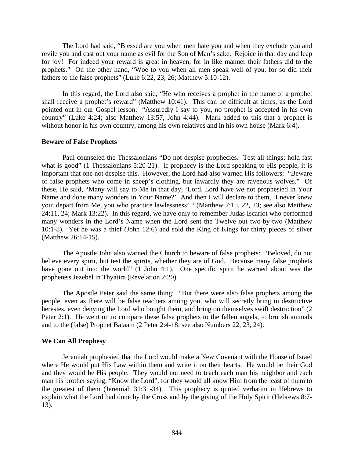The Lord had said, "Blessed are you when men hate you and when they exclude you and revile you and cast out your name as evil for the Son of Man's sake. Rejoice in that day and leap for joy! For indeed your reward is great in heaven, for in like manner their fathers did to the prophets." On the other hand, "Woe to you when all men speak well of you, for so did their fathers to the false prophets" (Luke 6:22, 23, 26; Matthew 5:10-12).

 In this regard, the Lord also said, "He who receives a prophet in the name of a prophet shall receive a prophet's reward" (Matthew 10:41). This can be difficult at times, as the Lord pointed out in our Gospel lesson: "Assuredly I say to you, no prophet is accepted in his own country" (Luke 4:24; also Matthew 13:57, John 4:44). Mark added to this that a prophet is without honor in his own country, among his own relatives and in his own house (Mark 6:4).

#### **Beware of False Prophets**

 Paul counseled the Thessalonians "Do not despise prophecies. Test all things; hold fast what is good" (1 Thessalonians 5:20-21). If prophecy is the Lord speaking to His people, it is important that one not despise this. However, the Lord had also warned His followers: "Beware of false prophets who come in sheep's clothing, but inwardly they are ravenous wolves." Of these, He said, "Many will say to Me in that day, 'Lord, Lord have we not prophesied in Your Name and done many wonders in Your Name?' And then I will declare to them, 'I never knew you; depart from Me, you who practice lawlessness' " (Matthew 7:15, 22, 23; see also Matthew 24:11, 24; Mark 13:22). In this regard, we have only to remember Judas Iscariot who performed many wonders in the Lord's Name when the Lord sent the Twelve out two-by-two (Matthew 10:1-8). Yet he was a thief (John 12:6) and sold the King of Kings for thirty pieces of silver (Matthew 26:14-15).

 The Apostle John also warned the Church to beware of false prophets: "Beloved, do not believe every spirit, but test the spirits, whether they are of God. Because many false prophets have gone out into the world" (1 John 4:1). One specific spirit he warned about was the prophetess Jezebel in Thyatira (Revelation 2:20).

 The Apostle Peter said the same thing: "But there were also false prophets among the people, even as there will be false teachers among you, who will secretly bring in destructive heresies, even denying the Lord who bought them, and bring on themselves swift destruction" (2) Peter 2:1). He went on to compare these false prophets to the fallen angels, to brutish animals and to the (false) Prophet Balaam (2 Peter 2:4-18; see also Numbers 22, 23, 24).

### **We Can All Prophesy**

 Jeremiah prophesied that the Lord would make a New Covenant with the House of Israel where He would put His Law within them and write it on their hearts. He would be their God and they would be His people. They would not need to teach each man his neighbor and each man his brother saying, "Know the Lord", for they would all know Him from the least of them to the greatest of them (Jeremiah 31:31-34). This prophecy is quoted verbatim in Hebrews to explain what the Lord had done by the Cross and by the giving of the Holy Spirit (Hebrews 8:7- 13).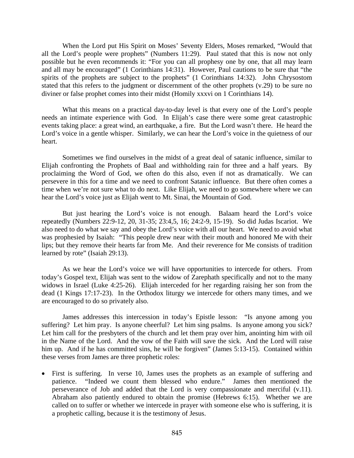When the Lord put His Spirit on Moses' Seventy Elders, Moses remarked, "Would that all the Lord's people were prophets" (Numbers 11:29). Paul stated that this is now not only possible but he even recommends it: "For you can all prophesy one by one, that all may learn and all may be encouraged" (1 Corinthians 14:31). However, Paul cautions to be sure that "the spirits of the prophets are subject to the prophets" (1 Corinthians 14:32). John Chrysostom stated that this refers to the judgment or discernment of the other prophets (v.29) to be sure no diviner or false prophet comes into their midst (Homily xxxvi on 1 Corinthians 14).

 What this means on a practical day-to-day level is that every one of the Lord's people needs an intimate experience with God. In Elijah's case there were some great catastrophic events taking place: a great wind, an earthquake, a fire. But the Lord wasn't there. He heard the Lord's voice in a gentle whisper. Similarly, we can hear the Lord's voice in the quietness of our heart.

 Sometimes we find ourselves in the midst of a great deal of satanic influence, similar to Elijah confronting the Prophets of Baal and withholding rain for three and a half years. By proclaiming the Word of God, we often do this also, even if not as dramatically. We can persevere in this for a time and we need to confront Satanic influence. But there often comes a time when we're not sure what to do next. Like Elijah, we need to go somewhere where we can hear the Lord's voice just as Elijah went to Mt. Sinai, the Mountain of God.

 But just hearing the Lord's voice is not enough. Balaam heard the Lord's voice repeatedly (Numbers 22:9-12, 20, 31-35; 23:4,5, 16; 24:2-9, 15-19). So did Judas Iscariot. We also need to do what we say and obey the Lord's voice with all our heart. We need to avoid what was prophesied by Isaiah: "This people drew near with their mouth and honored Me with their lips; but they remove their hearts far from Me. And their reverence for Me consists of tradition learned by rote" (Isaiah 29:13).

 As we hear the Lord's voice we will have opportunities to intercede for others. From today's Gospel text, Elijah was sent to the widow of Zarephath specifically and not to the many widows in Israel (Luke 4:25-26). Elijah interceded for her regarding raising her son from the dead (1 Kings 17:17-23). In the Orthodox liturgy we intercede for others many times, and we are encouraged to do so privately also.

 James addresses this intercession in today's Epistle lesson: "Is anyone among you suffering? Let him pray. Is anyone cheerful? Let him sing psalms. Is anyone among you sick? Let him call for the presbyters of the church and let them pray over him, anointing him with oil in the Name of the Lord. And the vow of the Faith will save the sick. And the Lord will raise him up. And if he has committed sins, he will be forgiven" (James 5:13-15). Contained within these verses from James are three prophetic roles:

• First is suffering. In verse 10, James uses the prophets as an example of suffering and patience. "Indeed we count them blessed who endure." James then mentioned the perseverance of Job and added that the Lord is very compassionate and merciful (v.11). Abraham also patiently endured to obtain the promise (Hebrews 6:15). Whether we are called on to suffer or whether we intercede in prayer with someone else who is suffering, it is a prophetic calling, because it is the testimony of Jesus.